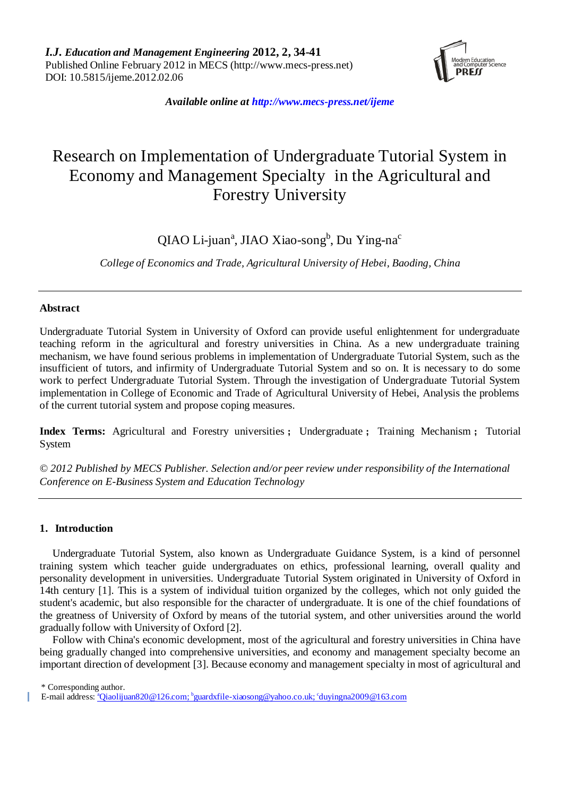

*Available online at http://www.mecs-press.net/ijeme*

# Research on Implementation of Undergraduate Tutorial System in Economy and Management Specialty in the Agricultural and Forestry University

QIAO Li-juan<sup>a</sup>, JIAO Xiao-song<sup>b</sup>, Du Ying-na<sup>c</sup>

*College of Economics and Trade, Agricultural University of Hebei, Baoding, China*

# **Abstract**

Undergraduate Tutorial System in University of Oxford can provide useful enlightenment for undergraduate teaching reform in the agricultural and forestry universities in China. As a new undergraduate training mechanism, we have found serious problems in implementation of Undergraduate Tutorial System, such as the insufficient of tutors, and infirmity of Undergraduate Tutorial System and so on. It is necessary to do some work to perfect Undergraduate Tutorial System. Through the investigation of Undergraduate Tutorial System implementation in College of Economic and Trade of Agricultural University of Hebei, Analysis the problems of the current tutorial system and propose coping measures.

**Index Terms:** Agricultural and Forestry universities ; Undergraduate ; Training Mechanism ; Tutorial System

*© 2012 Published by MECS Publisher. Selection and/or peer review under responsibility of the International Conference on E-Business System and Education Technology*

# **1. Introduction**

Undergraduate Tutorial System, also known as Undergraduate Guidance System, is a kind of personnel training system which teacher guide undergraduates on ethics, professional learning, overall quality and personality development in universities. Undergraduate Tutorial System originated in University of Oxford in 14th century [1]. This is a system of individual tuition organized by the colleges, which not only guided the student's academic, but also responsible for the character of undergraduate. It is one of the chief foundations of the greatness of University of Oxford by means of the tutorial system, and other universities around the world gradually follow with University of Oxford [2].

Follow with China's economic development, most of the agricultural and forestry universities in China have being gradually changed into comprehensive universities, and economy and management specialty become an important direction of development [3]. Because economy and management specialty in most of agricultural and

\* Corresponding author.

E-mail address: <u>\*[Qiaolijuan820@126.com;](mailto:Qiaolijuan820@126.com) <sup>b</sup>[guardxfile-xiaosong@yahoo.co.uk;](mailto:guardxfile-xiaosong@yahoo.co.uk) <sup>c</sup>[duyingna2009@163.com](mailto:duyingna2009@163.com)</u>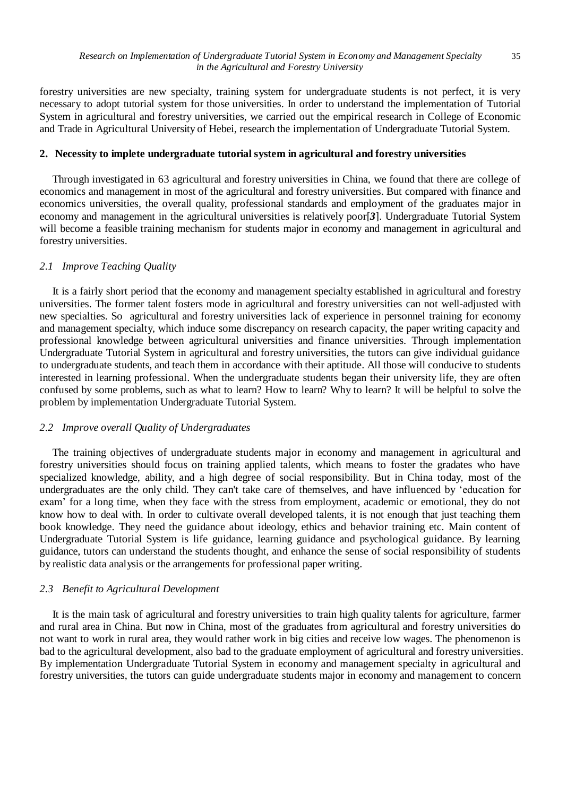forestry universities are new specialty, training system for undergraduate students is not perfect, it is very necessary to adopt tutorial system for those universities. In order to understand the implementation of Tutorial System in agricultural and forestry universities, we carried out the empirical research in College of Economic and Trade in Agricultural University of Hebei, research the implementation of Undergraduate Tutorial System.

# **2. Necessity to implete undergraduate tutorial system in agricultural and forestry universities**

Through investigated in 63 agricultural and forestry universities in China, we found that there are college of economics and management in most of the agricultural and forestry universities. But compared with finance and economics universities, the overall quality, professional standards and employment of the graduates major in economy and management in the agricultural universities is relatively poor[*3*]. Undergraduate Tutorial System will become a feasible training mechanism for students major in economy and management in agricultural and forestry universities.

## *2.1 Improve Teaching Quality*

It is a fairly short period that the economy and management specialty established in agricultural and forestry universities. The former talent fosters mode in agricultural and forestry universities can not well-adjusted with new specialties. So agricultural and forestry universities lack of experience in personnel training for economy and management specialty, which induce some discrepancy on research capacity, the paper writing capacity and professional knowledge between agricultural universities and finance universities. Through implementation Undergraduate Tutorial System in agricultural and forestry universities, the tutors can give individual guidance to undergraduate students, and teach them in accordance with their aptitude. All those will conducive to students interested in learning professional. When the undergraduate students began their university life, they are often confused by some problems, such as what to learn? How to learn? Why to learn? It will be helpful to solve the problem by implementation Undergraduate Tutorial System.

# *2.2 Improve overall Quality of Undergraduates*

The training objectives of undergraduate students major in economy and management in agricultural and forestry universities should focus on training applied talents, which means to foster the gradates who have specialized knowledge, ability, and a high degree of social responsibility. But in China today, most of the undergraduates are the only child. They can't take care of themselves, and have influenced by 'education for exam' for a long time, when they face with the stress from employment, academic or emotional, they do not know how to deal with. In order to cultivate overall developed talents, it is not enough that just teaching them book knowledge. They need the guidance about ideology, ethics and behavior training etc. Main content of Undergraduate Tutorial System is life guidance, learning guidance and psychological guidance. By learning guidance, tutors can understand the students thought, and enhance the sense of social responsibility of students by realistic data analysis or the arrangements for professional paper writing.

#### *2.3 Benefit to Agricultural Development*

It is the main task of agricultural and forestry universities to train high quality talents for agriculture, farmer and rural area in China. But now in China, most of the graduates from agricultural and forestry universities do not want to work in rural area, they would rather work in big cities and receive low wages. The phenomenon is bad to the agricultural development, also bad to the graduate employment of agricultural and forestry universities. By implementation Undergraduate Tutorial System in economy and management specialty in agricultural and forestry universities, the tutors can guide undergraduate students major in economy and management to concern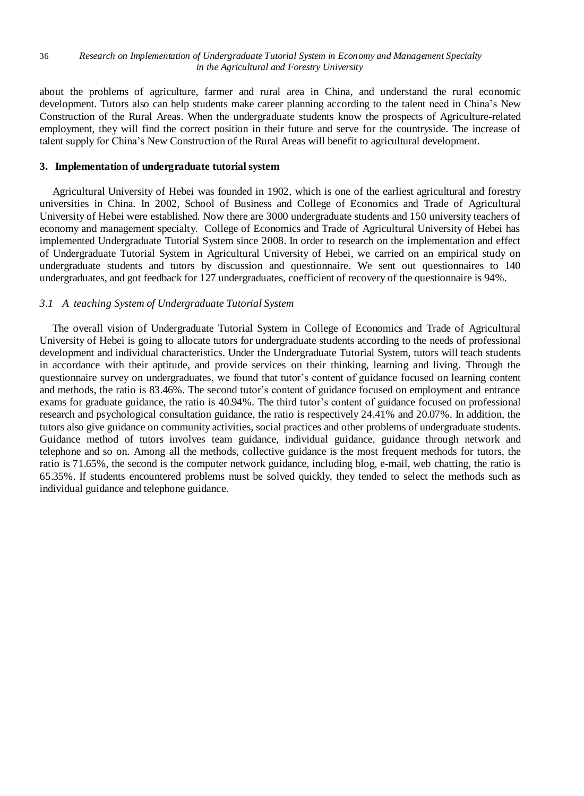#### 36 *Research on Implementation of Undergraduate Tutorial System in Economy and Management Specialty in the Agricultural and Forestry University*

about the problems of agriculture, farmer and rural area in China, and understand the rural economic development. Tutors also can help students make career planning according to the talent need in China's New Construction of the Rural Areas. When the undergraduate students know the prospects of Agriculture-related employment, they will find the correct position in their future and serve for the countryside. The increase of talent supply for China's New Construction of the Rural Areas will benefit to agricultural development.

# **3. Implementation of undergraduate tutorial system**

Agricultural University of Hebei was founded in 1902, which is one of the earliest agricultural and forestry universities in China. In 2002, School of Business and College of Economics and Trade of Agricultural University of Hebei were established. Now there are 3000 undergraduate students and 150 university teachers of economy and management specialty. College of Economics and Trade of Agricultural University of Hebei has implemented Undergraduate Tutorial System since 2008. In order to research on the implementation and effect of Undergraduate Tutorial System in Agricultural University of Hebei, we carried on an empirical study on undergraduate students and tutors by discussion and questionnaire. We sent out questionnaires to 140 undergraduates, and got feedback for 127 undergraduates, coefficient of recovery of the questionnaire is 94%.

# *3.1 A teaching System of Undergraduate Tutorial System*

The overall vision of Undergraduate Tutorial System in College of Economics and Trade of Agricultural University of Hebei is going to allocate tutors for undergraduate students according to the needs of professional development and individual characteristics. Under the Undergraduate Tutorial System, tutors will teach students in accordance with their aptitude, and provide services on their thinking, learning and living. Through the questionnaire survey on undergraduates, we found that tutor's content of guidance focused on learning content and methods, the ratio is 83.46%. The second tutor's content of guidance focused on employment and entrance exams for graduate guidance, the ratio is 40.94%. The third tutor's content of guidance focused on professional research and psychological consultation guidance, the ratio is respectively 24.41% and 20.07%. In addition, the tutors also give guidance on community activities, social practices and other problems of undergraduate students. Guidance method of tutors involves team guidance, individual guidance, guidance through network and telephone and so on. Among all the methods, collective guidance is the most frequent methods for tutors, the ratio is 71.65%, the second is the computer network guidance, including blog, e-mail, web chatting, the ratio is 65.35%. If students encountered problems must be solved quickly, they tended to select the methods such as individual guidance and telephone guidance.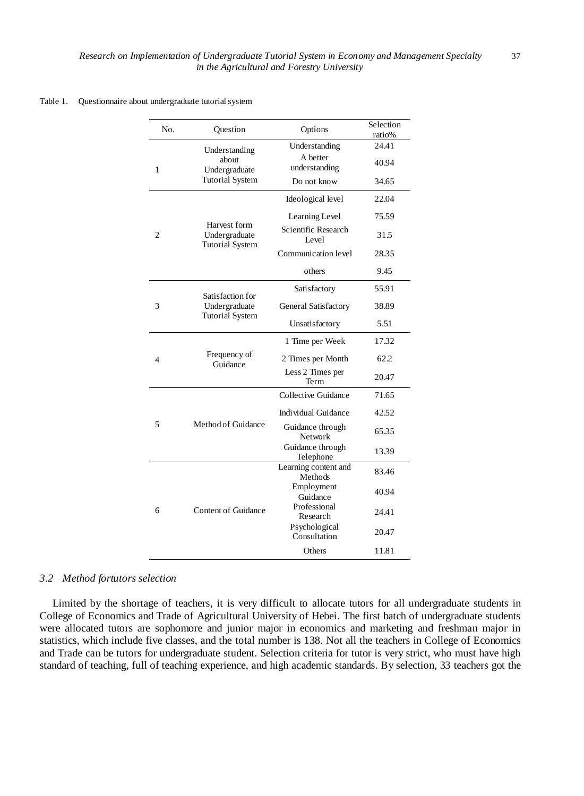#### Table 1. Questionnaire about undergraduate tutorial system

| No. | Ouestion                                                          | Options                         | Selection<br>ratio% |
|-----|-------------------------------------------------------------------|---------------------------------|---------------------|
| 1   | Understanding<br>about<br>Undergraduate<br><b>Tutorial System</b> | Understanding                   | 24.41               |
|     |                                                                   | A better<br>understanding       | 40.94               |
|     |                                                                   | Do not know                     | 34.65               |
| 2   | Harvest form<br>Undergraduate<br><b>Tutorial System</b>           | Ideological level               | 22.04               |
|     |                                                                   | Learning Level                  | 75.59               |
|     |                                                                   | Scientific Research<br>Level    | 31.5                |
|     |                                                                   | Communication level             | 28.35               |
|     |                                                                   | others                          | 9.45                |
| 3   | Satisfaction for<br>Undergraduate<br><b>Tutorial System</b>       | Satisfactory                    | 55.91               |
|     |                                                                   | General Satisfactory            | 38.89               |
|     |                                                                   | Unsatisfactory                  | 5.51                |
| 4   | Frequency of<br>Guidance                                          | 1 Time per Week                 | 17.32               |
|     |                                                                   | 2 Times per Month               | 62.2                |
|     |                                                                   | Less 2 Times per<br>Term        | 20.47               |
| 5   | Method of Guidance                                                | Collective Guidance             | 71.65               |
|     |                                                                   | Individual Guidance             | 42.52               |
|     |                                                                   | Guidance through<br>Network     | 65.35               |
|     |                                                                   | Guidance through<br>Telephone   | 13.39               |
| 6   | <b>Content of Guidance</b>                                        | Learning content and<br>Methods | 83.46               |
|     |                                                                   | Employment<br>Guidance          | 40.94               |
|     |                                                                   | Professional<br>Research        | 24.41               |
|     |                                                                   | Psychological<br>Consultation   | 20.47               |
|     |                                                                   | Others                          | 11.81               |

#### *3.2 Method fortutors selection*

Limited by the shortage of teachers, it is very difficult to allocate tutors for all undergraduate students in College of Economics and Trade of Agricultural University of Hebei. The first batch of undergraduate students were allocated tutors are sophomore and junior major in economics and marketing and freshman major in statistics, which include five classes, and the total number is 138. Not all the teachers in College of Economics and Trade can be tutors for undergraduate student. Selection criteria for tutor is very strict, who must have high standard of teaching, full of teaching experience, and high academic standards. By selection, 33 teachers got the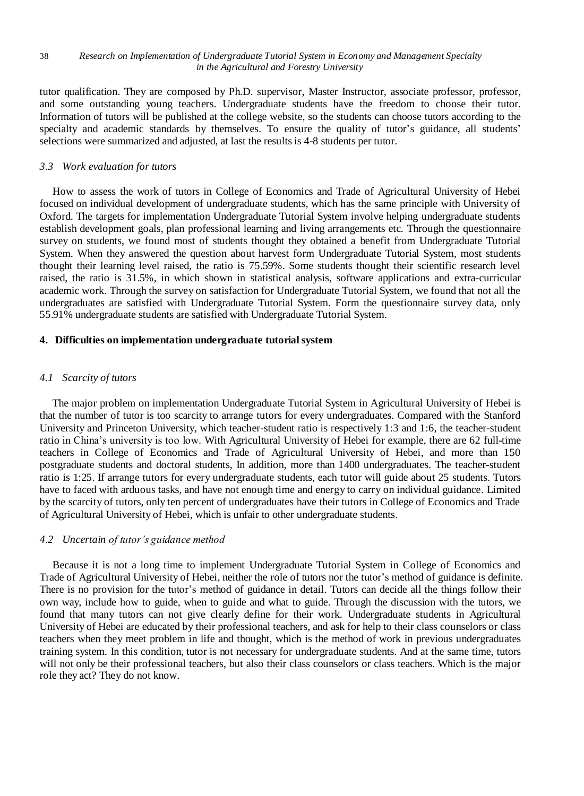#### 38 *Research on Implementation of Undergraduate Tutorial System in Economy and Management Specialty in the Agricultural and Forestry University*

tutor qualification. They are composed by Ph.D. supervisor, Master Instructor, associate professor, professor, and some outstanding young teachers. Undergraduate students have the freedom to choose their tutor. Information of tutors will be published at the college website, so the students can choose tutors according to the specialty and academic standards by themselves. To ensure the quality of tutor's guidance, all students' selections were summarized and adjusted, at last the results is 4-8 students per tutor.

# *3.3 Work evaluation for tutors*

How to assess the work of tutors in College of Economics and Trade of Agricultural University of Hebei focused on individual development of undergraduate students, which has the same principle with University of Oxford. The targets for implementation Undergraduate Tutorial System involve helping undergraduate students establish development goals, plan professional learning and living arrangements etc. Through the questionnaire survey on students, we found most of students thought they obtained a benefit from Undergraduate Tutorial System. When they answered the question about harvest form Undergraduate Tutorial System, most students thought their learning level raised, the ratio is 75.59%. Some students thought their scientific research level raised, the ratio is 31.5%, in which shown in statistical analysis, software applications and extra-curricular academic work. Through the survey on satisfaction for Undergraduate Tutorial System, we found that not all the undergraduates are satisfied with Undergraduate Tutorial System. Form the questionnaire survey data, only 55.91% undergraduate students are satisfied with Undergraduate Tutorial System.

# **4. Difficulties on implementation undergraduate tutorial system**

## *4.1 Scarcity of tutors*

The major problem on implementation Undergraduate Tutorial System in Agricultural University of Hebei is that the number of tutor is too scarcity to arrange tutors for every undergraduates. Compared with the Stanford University and Princeton University, which teacher-student ratio is respectively 1:3 and 1:6, the teacher-student ratio in China's university is too low. With Agricultural University of Hebei for example, there are 62 full-time teachers in College of Economics and Trade of Agricultural University of Hebei, and more than 150 postgraduate students and doctoral students, In addition, more than 1400 undergraduates. The teacher-student ratio is 1:25. If arrange tutors for every undergraduate students, each tutor will guide about 25 students. Tutors have to faced with arduous tasks, and have not enough time and energy to carry on individual guidance. Limited by the scarcity of tutors, only ten percent of undergraduates have their tutors in College of Economics and Trade of Agricultural University of Hebei, which is unfair to other undergraduate students.

# *4.2 Uncertain of tutor's guidance method*

Because it is not a long time to implement Undergraduate Tutorial System in College of Economics and Trade of Agricultural University of Hebei, neither the role of tutors nor the tutor's method of guidance is definite. There is no provision for the tutor's method of guidance in detail. Tutors can decide all the things follow their own way, include how to guide, when to guide and what to guide. Through the discussion with the tutors, we found that many tutors can not give clearly define for their work. Undergraduate students in Agricultural University of Hebei are educated by their professional teachers, and ask for help to their class counselors or class teachers when they meet problem in life and thought, which is the method of work in previous undergraduates training system. In this condition, tutor is not necessary for undergraduate students. And at the same time, tutors will not only be their professional teachers, but also their class counselors or class teachers. Which is the major role they act? They do not know.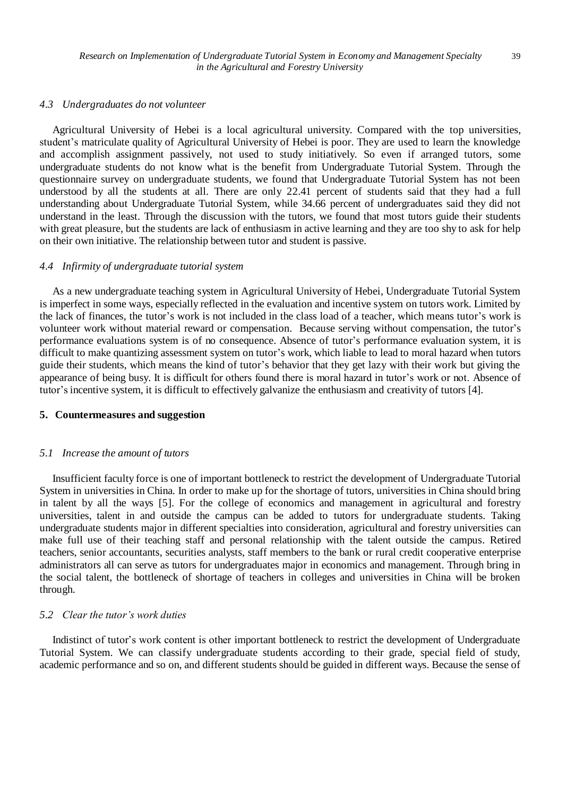#### *4.3 Undergraduates do not volunteer*

Agricultural University of Hebei is a local agricultural university. Compared with the top universities, student's matriculate quality of Agricultural University of Hebei is poor. They are used to learn the knowledge and accomplish assignment passively, not used to study initiatively. So even if arranged tutors, some undergraduate students do not know what is the benefit from Undergraduate Tutorial System. Through the questionnaire survey on undergraduate students, we found that Undergraduate Tutorial System has not been understood by all the students at all. There are only 22.41 percent of students said that they had a full understanding about Undergraduate Tutorial System, while 34.66 percent of undergraduates said they did not understand in the least. Through the discussion with the tutors, we found that most tutors guide their students with great pleasure, but the students are lack of enthusiasm in active learning and they are too shy to ask for help on their own initiative. The relationship between tutor and student is passive.

#### *4.4 Infirmity of undergraduate tutorial system*

As a new undergraduate teaching system in Agricultural University of Hebei, Undergraduate Tutorial System is imperfect in some ways, especially reflected in the evaluation and incentive system on tutors work. Limited by the lack of finances, the tutor's work is not included in the class load of a teacher, which means tutor's work is volunteer work without material reward or compensation. Because serving without compensation, the tutor's performance evaluations system is of no consequence. Absence of tutor's performance evaluation system, it is difficult to make quantizing assessment system on tutor's work, which liable to lead to moral hazard when tutors guide their students, which means the kind of tutor's behavior that they get lazy with their work but giving the appearance of being busy. It is difficult for others found there is moral hazard in tutor's work or not. Absence of tutor's incentive system, it is difficult to effectively galvanize the enthusiasm and creativity of tutors [4].

#### **5. Countermeasures and suggestion**

#### *5.1 Increase the amount of tutors*

Insufficient faculty force is one of important bottleneck to restrict the development of Undergraduate Tutorial System in universities in China. In order to make up for the shortage of tutors, universities in China should bring in talent by all the ways [5]. For the college of economics and management in agricultural and forestry universities, talent in and outside the campus can be added to tutors for undergraduate students. Taking undergraduate students major in different specialties into consideration, agricultural and forestry universities can make full use of their teaching staff and personal relationship with the talent outside the campus. Retired teachers, senior accountants, securities analysts, staff members to the bank or rural credit cooperative enterprise administrators all can serve as tutors for undergraduates major in economics and management. Through bring in the social talent, the bottleneck of shortage of teachers in colleges and universities in China will be broken through.

# *5.2 Clear the tutor's work duties*

Indistinct of tutor's work content is other important bottleneck to restrict the development of Undergraduate Tutorial System. We can classify undergraduate students according to their grade, special field of study, academic performance and so on, and different students should be guided in different ways. Because the sense of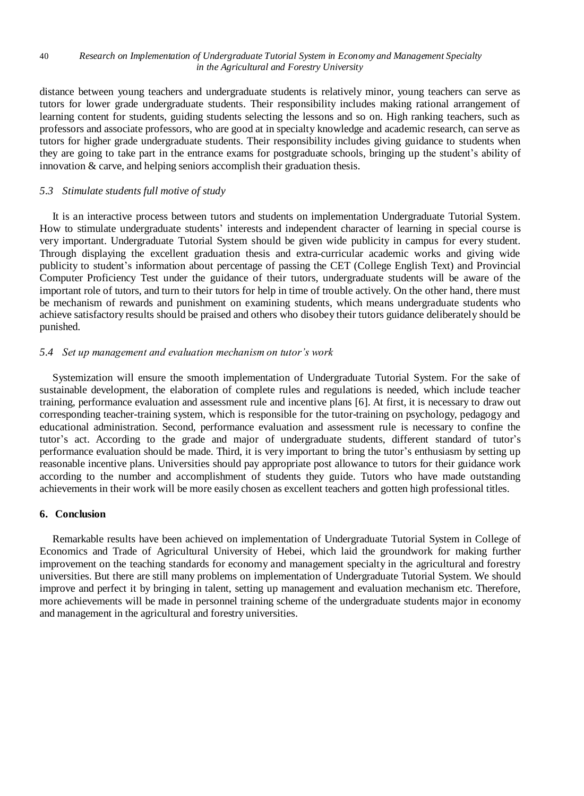#### 40 *Research on Implementation of Undergraduate Tutorial System in Economy and Management Specialty in the Agricultural and Forestry University*

distance between young teachers and undergraduate students is relatively minor, young teachers can serve as tutors for lower grade undergraduate students. Their responsibility includes making rational arrangement of learning content for students, guiding students selecting the lessons and so on. High ranking teachers, such as professors and associate professors, who are good at in specialty knowledge and academic research, can serve as tutors for higher grade undergraduate students. Their responsibility includes giving guidance to students when they are going to take part in the entrance exams for postgraduate schools, bringing up the student's ability of innovation & carve, and helping seniors accomplish their graduation thesis.

## *5.3 Stimulate students full motive of study*

It is an interactive process between tutors and students on implementation Undergraduate Tutorial System. How to stimulate undergraduate students' interests and independent character of learning in special course is very important. Undergraduate Tutorial System should be given wide publicity in campus for every student. Through displaying the excellent graduation thesis and extra-curricular academic works and giving wide publicity to student's information about percentage of passing the CET (College English Text) and Provincial Computer Proficiency Test under the guidance of their tutors, undergraduate students will be aware of the important role of tutors, and turn to their tutors for help in time of trouble actively. On the other hand, there must be mechanism of rewards and punishment on examining students, which means undergraduate students who achieve satisfactory results should be praised and others who disobey their tutors guidance deliberately should be punished.

#### *5.4 Set up management and evaluation mechanism on tutor's work*

Systemization will ensure the smooth implementation of Undergraduate Tutorial System. For the sake of sustainable development, the elaboration of complete rules and regulations is needed, which include teacher training, performance evaluation and assessment rule and incentive plans [6]. At first, it is necessary to draw out corresponding teacher-training system, which is responsible for the tutor-training on psychology, pedagogy and educational administration. Second, performance evaluation and assessment rule is necessary to confine the tutor's act. According to the grade and major of undergraduate students, different standard of tutor's performance evaluation should be made. Third, it is very important to bring the tutor's enthusiasm by setting up reasonable incentive plans. Universities should pay appropriate post allowance to tutors for their guidance work according to the number and accomplishment of students they guide. Tutors who have made outstanding achievements in their work will be more easily chosen as excellent teachers and gotten high professional titles.

# **6. Conclusion**

Remarkable results have been achieved on implementation of Undergraduate Tutorial System in College of Economics and Trade of Agricultural University of Hebei, which laid the groundwork for making further improvement on the teaching standards for economy and management specialty in the agricultural and forestry universities. But there are still many problems on implementation of Undergraduate Tutorial System. We should improve and perfect it by bringing in talent, setting up management and evaluation mechanism etc. Therefore, more achievements will be made in personnel training scheme of the undergraduate students major in economy and management in the agricultural and forestry universities.